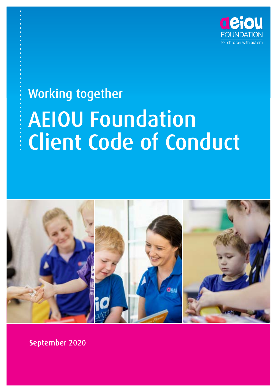

# AEIOU Foundation Client Code of Conduct Working together



September 2020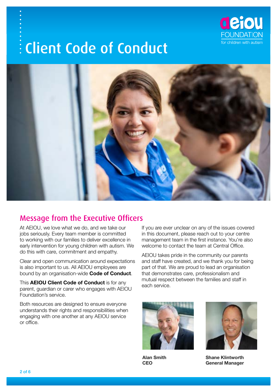



## Message from the Executive Officers

At AEIOU, we love what we do, and we take our jobs seriously. Every team member is committed to working with our families to deliver excellence in early intervention for young children with autism. We do this with care, commitment and empathy.

Clear and open communication around expectations is also important to us. All AEIOU employees are bound by an organisation-wide **Code of Conduct**.

This **AEIOU Client Code of Conduct** is for any parent, guardian or carer who engages with AEIOU Foundation's service.

Both resources are designed to ensure everyone understands their rights and responsibilities when engaging with one another at any AEIOU service or office.

If you are ever unclear on any of the issues covered in this document, please reach out to your centre management team in the first instance. You're also welcome to contact the team at Central Office.

AEIOU takes pride in the community our parents and staff have created, and we thank you for being part of that. We are proud to lead an organisation that demonstrates care, professionalism and mutual respect between the families and staff in each service.



**Alan Smith CEO**



**Shane Klintworth General Manager**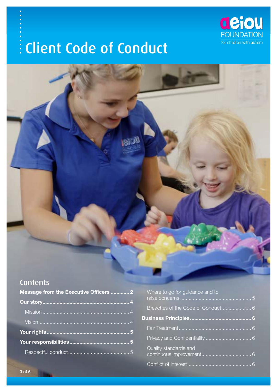



## **Contents**

| Message from the Executive Officers  2 |  |
|----------------------------------------|--|
|                                        |  |
|                                        |  |
|                                        |  |
|                                        |  |
|                                        |  |
|                                        |  |

| Where to go for guidance and to   |   |
|-----------------------------------|---|
| Breaches of the Code of Conduct 6 |   |
|                                   | 6 |
|                                   |   |
|                                   |   |
| Quality standards and             |   |
|                                   |   |
|                                   |   |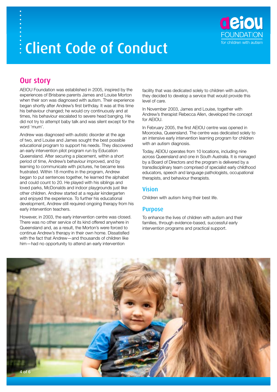

### Our story

AEIOU Foundation was established in 2005, inspired by the experiences of Brisbane parents James and Louise Morton when their son was diagnosed with autism. Their experience began shortly after Andrew's first birthday. It was at this time his behaviour changed; he would cry continuously and at times, his behaviour escalated to severe head banging. He did not try to attempt baby talk and was silent except for the word 'mum'.

Andrew was diagnosed with autistic disorder at the age of two, and Louise and James sought the best possible educational program to support his needs. They discovered an early intervention pilot program run by Education Queensland. After securing a placement, within a short period of time, Andrew's behaviour improved, and by learning to communicate with pictures, he became less frustrated. Within 18 months in the program, Andrew began to put sentences together, he learned the alphabet and could count to 20. He played with his siblings and loved parks, McDonalds and indoor playgrounds just like other children. Andrew started at a regular kindergarten and enjoyed the experience. To further his educational development, Andrew still required ongoing therapy from his early intervention teachers.

However, in 2003, the early intervention centre was closed. There was no other service of its kind offered anywhere in Queensland and, as a result, the Morton's were forced to continue Andrew's therapy in their own home. Dissatisfied with the fact that Andrew—and thousands of children like him—had no opportunity to attend an early intervention

facility that was dedicated solely to children with autism, they decided to develop a service that would provide this level of care.

In November 2003, James and Louise, together with Andrew's therapist Rebecca Allen, developed the concept for AEIOU.

In February 2005, the first AEIOU centre was opened in Moorooka, Queensland. The centre was dedicated solely to an intensive early intervention learning program for children with an autism diagnosis.

Today, AEIOU operates from 10 locations, including nine across Queensland and one in South Australia. It is managed by a Board of Directors and the program is delivered by a transdisciplinary team comprised of specialist early childhood educators, speech and language pathologists, occupational therapists, and behaviour therapists.

#### Vision

Children with autism living their best life.

#### Purpose

To enhance the lives of children with autism and their families, through evidence-based, successful early intervention programs and practical support.

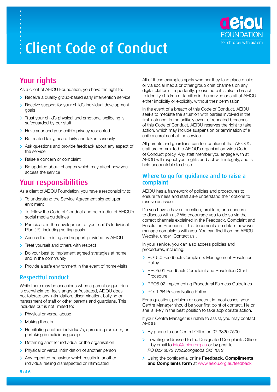

## Your rights

As a client of AEIOU Foundation, you have the right to:

- > Receive a quality group-based early intervention service
- > Receive support for your child's individual development goals
- Trust your child's physical and emotional wellbeing is safeguarded by our staff
- > Have your and your child's privacy respected
- > Be treated fairly, heard fairly and taken seriously
- > Ask questions and provide feedback about any aspect of the service
- > Raise a concern or complaint
- Be updated about changes which may affect how you access the service

### Your responsibilities

As a client of AEIOU Foundation, you have a responsibility to:

- > To understand the Service Agreement signed upon enrolment
- > To follow the Code of Conduct and be mindful of AEIOU's social media guidelines
- > Participate in the development of your child's Individual Plan (IP), including setting goals
- Access the training and support provided by AEIOU
- > Treat yourself and others with respect
- > Do your best to implement agreed strategies at home and in the community
- $\triangleright$  Provide a safe environment in the event of home-visits

### Respectful conduct

While there may be occasions when a parent or guardian is overwhelmed, feels angry or frustrated, AEIOU does not tolerate any intimidation, discrimination, bullying or harassment of staff or other parents and guardians. This includes but is not limited to:

- > Physical or verbal abuse
- > Making threats
- > Humiliating another individual/s, spreading rumours, or partaking in malicious gossip
- > Defaming another individual or the organisation
- > Physical or verbal intimidation of another person
- > Any repeated behaviour which results in another individual feeling disrespected or intimidated

All of these examples apply whether they take place onsite. or via social media or other group chat channels on any digital platform. Importantly, please note it is also a breach to identify children or families in the service or staff at AEIOU either implicitly or explicitly, without their permission.

In the event of a breach of this Code of Conduct, AEIOU seeks to mediate the situation with parties involved in the first instance. In the unlikely event of repeated breaches of this Code of Conduct, AEIOU reserves the right to take action, which may include suspension or termination of a child's enrolment at the service.

All parents and guardians can feel confident that AEIOU's staff are committed to AEIOU's organisation-wide Code of Conduct policy. Any staff member you engage with at AEIOU will respect your rights and act with integrity, and is held accountable to do so.

#### Where to go for guidance and to raise a complaint

AEIOU has a framework of policies and procedures to ensure families and staff alike understand their options to resolve an issue.

Do you have a have a question, problem, or a concern to discuss with us? We encourage you to do so via the correct channels explained in the Feedback, Complaint and Resolution Procedure. This document also details how we manage complaints with you. You can find it on the AEIOU Website, under 'Contact us'.

In your service, you can also access policies and procedures, including:

- POL5.0 Feedback Complaints Management Resolution **Policy**
- **> PRO5.01 Feedback Complaint and Resolution Client** Procedure
- **> PRO5.02 Implementing Procedural Fairness Guidelines**
- > POL1.3B Privacy Notice Policy

For a question, problem or concern, in most cases, your Centre Manager should be your first point of contact. He or she is likely in the best position to take appropriate action.

If your Centre Manager is unable to assist, you may contact AEIOU:

- By phone to our Central Office on 07 3320 7500
- In writing addressed to the Designated Complaints Officer – by email to [info@aeiou.org.au](mailto:info@aeiou.org.au) or by post to *PO Box 8072 Woolloongabba Qld 4012*
- Using the confidential online **Feedback, Compliments and Complaints form** at [www.aeiou.org.au/feedback](http://www.aeiou.org.au/feedback)